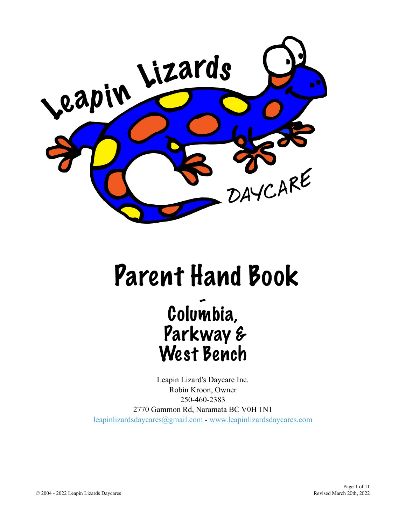

# Parent Hand Book

## Columbia, Parkway & West Bench

Leapin Lizard's Daycare Inc. Robin Kroon, Owner 250-460-2383 2770 Gammon Rd, Naramata BC V0H 1N1 [leapinlizardsdaycares@gmail.com](mailto:leapinlizardsdaycares@gmail.com?subject=) - [www.leapinlizardsdaycares.com](http://www.leapinlizardsdaycares.com)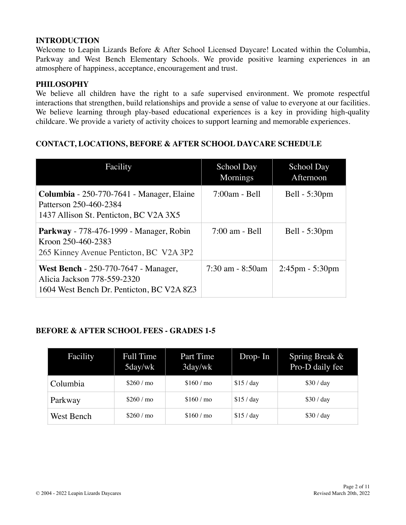#### **INTRODUCTION**

Welcome to Leapin Lizards Before & After School Licensed Daycare! Located within the Columbia, Parkway and West Bench Elementary Schools. We provide positive learning experiences in an atmosphere of happiness, acceptance, encouragement and trust.

#### **PHILOSOPHY**

We believe all children have the right to a safe supervised environment. We promote respectful interactions that strengthen, build relationships and provide a sense of value to everyone at our facilities. We believe learning through play-based educational experiences is a key in providing high-quality childcare. We provide a variety of activity choices to support learning and memorable experiences.

#### **CONTACT, LOCATIONS, BEFORE & AFTER SCHOOL DAYCARE SCHEDULE**

| Facility                                                                                                                | School Day<br>Mornings | <b>School Day</b><br>Afternoon |
|-------------------------------------------------------------------------------------------------------------------------|------------------------|--------------------------------|
| Columbia - 250-770-7641 - Manager, Elaine<br>Patterson 250-460-2384<br>1437 Allison St. Penticton, BC V2A 3X5           | $7:00am - Bell$        | Bell - 5:30pm                  |
| Parkway - 778-476-1999 - Manager, Robin<br>Kroon 250-460-2383<br>265 Kinney Avenue Penticton, BC V2A 3P2                | $7:00$ am - Bell       | Bell - 5:30pm                  |
| <b>West Bench</b> - 250-770-7647 - Manager,<br>Alicia Jackson 778-559-2320<br>1604 West Bench Dr. Penticton, BC V2A 8Z3 | $7:30$ am $-8:50$ am   | $2:45$ pm - 5:30pm             |

#### **BEFORE & AFTER SCHOOL FEES - GRADES 1-5**

| Facility   | <b>Full Time</b><br>5day/wk | Part Time<br>3day/wk | $Drop-In$  | Spring Break &<br>Pro-D daily fee |
|------------|-----------------------------|----------------------|------------|-----------------------------------|
| Columbia   | \$260/m                     | \$160/m              | \$15 / day | \$30 / day                        |
| Parkway    | \$260/m                     | \$160/m              | \$15 / day | \$30 / day                        |
| West Bench | \$260/m                     | \$160/m              | \$15 / day | \$30 / day                        |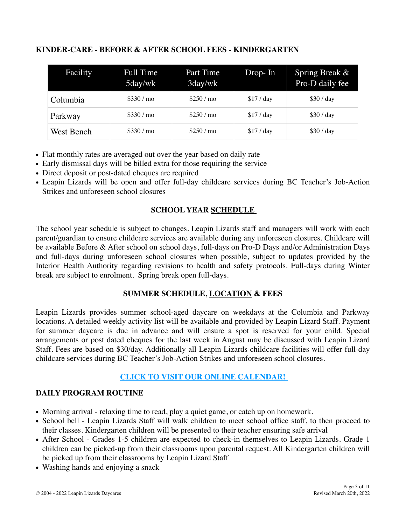#### **KINDER-CARE - BEFORE & AFTER SCHOOL FEES - KINDERGARTEN**

| Facility   | Full Time<br>5day/wk | Part Time<br>3day/wk | $Drop-In$  | Spring Break &<br>Pro-D daily fee |
|------------|----------------------|----------------------|------------|-----------------------------------|
| Columbia   | \$330/mo             | \$250/mo             | \$17 / day | \$30 / day                        |
| Parkway    | \$330/mo             | \$250/mo             | \$17 / day | \$30 / day                        |
| West Bench | \$330/mo             | \$250/mo             | \$17 / day | \$30 / day                        |

- Flat monthly rates are averaged out over the year based on daily rate
- Early dismissal days will be billed extra for those requiring the service
- Direct deposit or post-dated cheques are required
- Leapin Lizards will be open and offer full-day childcare services during BC Teacher's Job-Action Strikes and unforeseen school closures

#### **SCHOOL YEAR [SCHEDULE](https://www.leapinlizardsdaycares.com/calendar.html)**

The school year schedule is subject to changes. Leapin Lizards staff and managers will work with each parent/guardian to ensure childcare services are available during any unforeseen closures. Childcare will be available Before & After school on school days, full-days on Pro-D Days and/or Administration Days and full-days during unforeseen school closures when possible, subject to updates provided by the Interior Health Authority regarding revisions to health and safety protocols. Full-days during Winter break are subject to enrolment. Spring break open full-days.

#### **SUMMER SCHEDULE, [LOCATION](https://www.leapinlizardsdaycares.com/calendar.html) & FEES**

Leapin Lizards provides summer school-aged daycare on weekdays at the Columbia and Parkway locations. A detailed weekly activity list will be available and provided by Leapin Lizard Staff. Payment for summer daycare is due in advance and will ensure a spot is reserved for your child. Special arrangements or post dated cheques for the last week in August may be discussed with Leapin Lizard Staff. Fees are based on \$30/day. Additionally all Leapin Lizards childcare facilities will offer full-day childcare services during BC Teacher's Job-Action Strikes and unforeseen school closures.

#### **[CLICK TO VISIT OUR ONLINE CALENDAR!](https://www.leapinlizardsdaycares.com/calendar.html)**

#### **DAILY PROGRAM ROUTINE**

- Morning arrival relaxing time to read, play a quiet game, or catch up on homework.
- School bell Leapin Lizards Staff will walk children to meet school office staff, to then proceed to their classes. Kindergarten children will be presented to their teacher ensuring safe arrival
- After School Grades 1-5 children are expected to check-in themselves to Leapin Lizards. Grade 1 children can be picked-up from their classrooms upon parental request. All Kindergarten children will be picked up from their classrooms by Leapin Lizard Staff
- Washing hands and enjoying a snack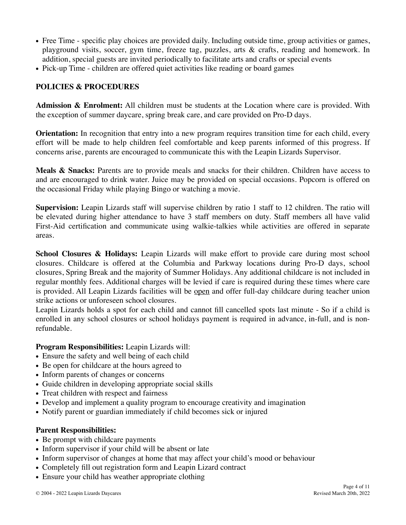- Free Time specific play choices are provided daily. Including outside time, group activities or games, playground visits, soccer, gym time, freeze tag, puzzles, arts & crafts, reading and homework. In addition, special guests are invited periodically to facilitate arts and crafts or special events
- Pick-up Time children are offered quiet activities like reading or board games

#### **POLICIES & PROCEDURES**

**Admission & Enrolment:** All children must be students at the Location where care is provided. With the exception of summer daycare, spring break care, and care provided on Pro-D days.

**Orientation:** In recognition that entry into a new program requires transition time for each child, every effort will be made to help children feel comfortable and keep parents informed of this progress. If concerns arise, parents are encouraged to communicate this with the Leapin Lizards Supervisor.

**Meals & Snacks:** Parents are to provide meals and snacks for their children. Children have access to and are encouraged to drink water. Juice may be provided on special occasions. Popcorn is offered on the occasional Friday while playing Bingo or watching a movie.

**Supervision:** Leapin Lizards staff will supervise children by ratio 1 staff to 12 children. The ratio will be elevated during higher attendance to have 3 staff members on duty. Staff members all have valid First-Aid certification and communicate using walkie-talkies while activities are offered in separate areas.

**School Closures & Holidays:** Leapin Lizards will make effort to provide care during most school closures. Childcare is offered at the Columbia and Parkway locations during Pro-D days, school closures, Spring Break and the majority of Summer Holidays. Any additional childcare is not included in regular monthly fees. Additional charges will be levied if care is required during these times where care is provided. All Leapin Lizards facilities will be open and offer full-day childcare during teacher union strike actions or unforeseen school closures.

Leapin Lizards holds a spot for each child and cannot fill cancelled spots last minute - So if a child is enrolled in any school closures or school holidays payment is required in advance, in-full, and is nonrefundable.

#### **Program Responsibilities:** Leapin Lizards will:

- Ensure the safety and well being of each child
- Be open for childcare at the hours agreed to
- Inform parents of changes or concerns
- Guide children in developing appropriate social skills
- Treat children with respect and fairness
- Develop and implement a quality program to encourage creativity and imagination
- Notify parent or guardian immediately if child becomes sick or injured

#### **Parent Responsibilities:**

- Be prompt with childcare payments
- Inform supervisor if your child will be absent or late
- Inform supervisor of changes at home that may affect your child's mood or behaviour
- Completely fill out registration form and Leapin Lizard contract
- Ensure your child has weather appropriate clothing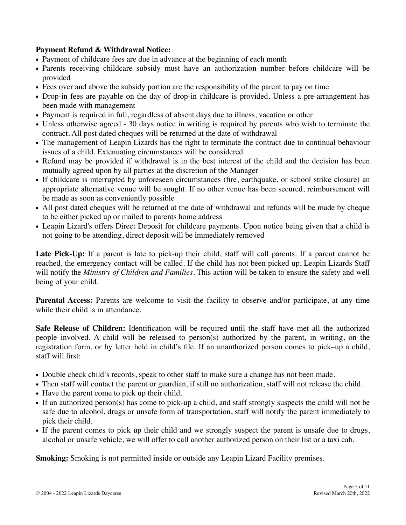#### **Payment Refund & Withdrawal Notice:**

- Payment of childcare fees are due in advance at the beginning of each month
- Parents receiving childcare subsidy must have an authorization number before childcare will be provided
- Fees over and above the subsidy portion are the responsibility of the parent to pay on time
- Drop-in fees are payable on the day of drop-in childcare is provided. Unless a pre-arrangement has been made with management
- Payment is required in full, regardless of absent days due to illness, vacation or other
- Unless otherwise agreed 30 days notice in writing is required by parents who wish to terminate the contract. All post dated cheques will be returned at the date of withdrawal
- The management of Leapin Lizards has the right to terminate the contract due to continual behaviour issues of a child. Extenuating circumstances will be considered
- Refund may be provided if withdrawal is in the best interest of the child and the decision has been mutually agreed upon by all parties at the discretion of the Manager
- If childcare is interrupted by unforeseen circumstances (fire, earthquake, or school strike closure) an appropriate alternative venue will be sought. If no other venue has been secured, reimbursement will be made as soon as conveniently possible
- All post dated cheques will be returned at the date of withdrawal and refunds will be made by cheque to be either picked up or mailed to parents home address
- Leapin Lizard's offers Direct Deposit for childcare payments. Upon notice being given that a child is not going to be attending, direct deposit will be immediately removed

Late Pick-Up: If a parent is late to pick-up their child, staff will call parents. If a parent cannot be reached, the emergency contact will be called. If the child has not been picked up, Leapin Lizards Staff will notify the *Ministry of Children and Families*. This action will be taken to ensure the safety and well being of your child.

**Parental Access:** Parents are welcome to visit the facility to observe and/or participate, at any time while their child is in attendance.

**Safe Release of Children:** Identification will be required until the staff have met all the authorized people involved. A child will be released to person(s) authorized by the parent, in writing, on the registration form, or by letter held in child's file. If an unauthorized person comes to pick–up a child, staff will first:

- Double check child's records, speak to other staff to make sure a change has not been made.
- Then staff will contact the parent or guardian, if still no authorization, staff will not release the child.
- Have the parent come to pick up their child.
- If an authorized person(s) has come to pick-up a child, and staff strongly suspects the child will not be safe due to alcohol, drugs or unsafe form of transportation, staff will notify the parent immediately to pick their child.
- If the parent comes to pick up their child and we strongly suspect the parent is unsafe due to drugs, alcohol or unsafe vehicle, we will offer to call another authorized person on their list or a taxi cab.

**Smoking:** Smoking is not permitted inside or outside any Leapin Lizard Facility premises.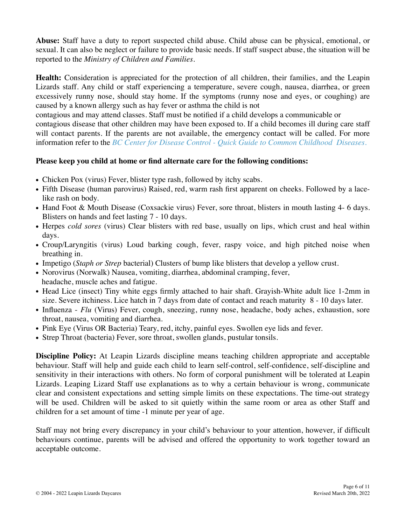**Abuse:** Staff have a duty to report suspected child abuse. Child abuse can be physical, emotional, or sexual. It can also be neglect or failure to provide basic needs. If staff suspect abuse, the situation will be reported to the *Ministry of Children and Families.*

**Health:** Consideration is appreciated for the protection of all children, their families, and the Leapin Lizards staff. Any child or staff experiencing a temperature, severe cough, nausea, diarrhea, or green excessively runny nose, should stay home. If the symptoms (runny nose and eyes, or coughing) are caused by a known allergy such as hay fever or asthma the child is not

contagious and may attend classes. Staff must be notified if a child develops a communicable or contagious disease that other children may have been exposed to. If a child becomes ill during care staff will contact parents. If the parents are not available, the emergency contact will be called. For more information refer to the *[BC Center for Disease Control - Quick Guide to Common Childhood Diseases.](http://www.bccdc.ca/NR/rdonlyres/8061A728-C969-4F38-9082-B0296EF2A128/0/Epid_GF_childhood_quickguide_may_09.pdf)*

#### **Please keep you child at home or find alternate care for the following conditions:**

- Chicken Pox (virus) Fever, blister type rash, followed by itchy scabs.
- Fifth Disease (human parovirus) Raised, red, warm rash first apparent on cheeks. Followed by a lacelike rash on body.
- Hand Foot & Mouth Disease (Coxsackie virus) Fever, sore throat, blisters in mouth lasting 4- 6 days. Blisters on hands and feet lasting 7 - 10 days.
- Herpes *cold sores* (virus) Clear blisters with red base, usually on lips, which crust and heal within days.
- Croup/Laryngitis (virus) Loud barking cough, fever, raspy voice, and high pitched noise when breathing in.
- Impetigo (*Staph or Strep* bacterial) Clusters of bump like blisters that develop a yellow crust.
- Norovirus (Norwalk) Nausea, vomiting, diarrhea, abdominal cramping, fever, headache, muscle aches and fatigue.
- Head Lice (insect) Tiny white eggs firmly attached to hair shaft. Grayish-White adult lice 1-2mm in size. Severe itchiness. Lice hatch in 7 days from date of contact and reach maturity 8 - 10 days later.
- Influenza *Flu* (Virus) Fever, cough, sneezing, runny nose, headache, body aches, exhaustion, sore throat, nausea, vomiting and diarrhea.
- Pink Eye (Virus OR Bacteria) Teary, red, itchy, painful eyes. Swollen eye lids and fever.
- Strep Throat (bacteria) Fever, sore throat, swollen glands, pustular tonsils.

**Discipline Policy:** At Leapin Lizards discipline means teaching children appropriate and acceptable behaviour. Staff will help and guide each child to learn self-control, self-confidence, self-discipline and sensitivity in their interactions with others. No form of corporal punishment will be tolerated at Leapin Lizards. Leaping Lizard Staff use explanations as to why a certain behaviour is wrong, communicate clear and consistent expectations and setting simple limits on these expectations. The time-out strategy will be used. Children will be asked to sit quietly within the same room or area as other Staff and children for a set amount of time -1 minute per year of age.

Staff may not bring every discrepancy in your child's behaviour to your attention, however, if difficult behaviours continue, parents will be advised and offered the opportunity to work together toward an acceptable outcome.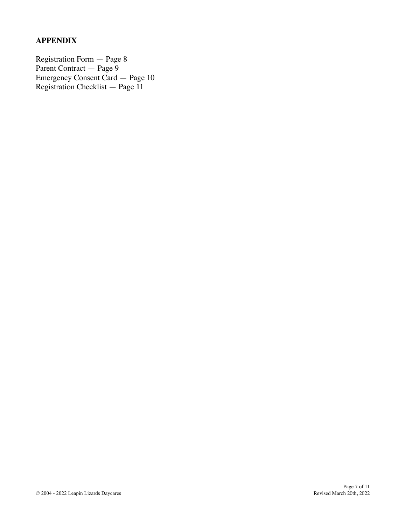#### **APPENDIX**

Registration Form — Page 8 Parent Contract — Page 9 Emergency Consent Card — Page 10 Registration Checklist — Page 11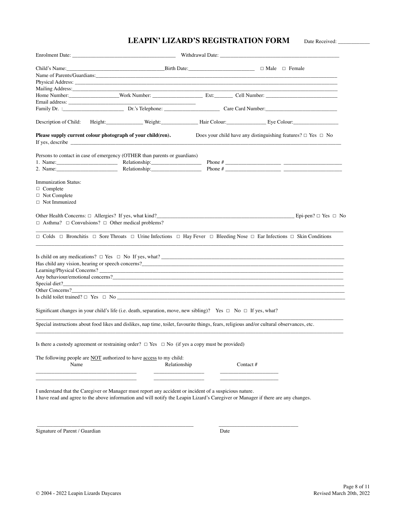#### LEAPIN' LIZARD'S REGISTRATION FORM Date Received: \_\_\_\_\_\_\_\_\_\_\_\_\_\_\_\_\_\_\_\_\_\_\_\_\_\_\_\_\_\_\_

|                                                                                                                                                                                                                                              |              |      | Withdrawal Date: New York and South Article 2014                                                                                                                                                                              |
|----------------------------------------------------------------------------------------------------------------------------------------------------------------------------------------------------------------------------------------------|--------------|------|-------------------------------------------------------------------------------------------------------------------------------------------------------------------------------------------------------------------------------|
| Child's Name: Birth Date: Birth Date: Birth Date: Birth Date: Birth Date: Birth Date: Birth Date: Birth Date: Birth Date: Birth Date: Birth Date: Birth Date: Birth Date: Birth Date: Birth Date: Birth Date: Birth Date: Bir                |              |      |                                                                                                                                                                                                                               |
|                                                                                                                                                                                                                                              |              |      |                                                                                                                                                                                                                               |
|                                                                                                                                                                                                                                              |              |      |                                                                                                                                                                                                                               |
| Mailing Address: No. 1996. The Committee of the Committee of the Committee of the Committee of the Committee of the Committee of the Committee of the Committee of the Committee of the Committee of the Committee of the Comm               |              |      |                                                                                                                                                                                                                               |
|                                                                                                                                                                                                                                              |              |      |                                                                                                                                                                                                                               |
|                                                                                                                                                                                                                                              |              |      |                                                                                                                                                                                                                               |
|                                                                                                                                                                                                                                              |              |      |                                                                                                                                                                                                                               |
|                                                                                                                                                                                                                                              |              |      | Description of Child: Height: Weight: Weight: Height: Height: Height: Height: Height: Height: Height: Height: Height: Height: Height: Height: Height: Height: Height: Height: Height: Height: Height: Height: Height: Height: |
| Please supply current colour photograph of your child(ren).                                                                                                                                                                                  |              |      | Does your child have any distinguishing features? $\Box$ Yes $\Box$ No                                                                                                                                                        |
|                                                                                                                                                                                                                                              |              |      |                                                                                                                                                                                                                               |
| Persons to contact in case of emergency (OTHER than parents or guardians)                                                                                                                                                                    |              |      |                                                                                                                                                                                                                               |
| 1. Name: Relationship: Relationship:                                                                                                                                                                                                         |              |      | Phone $#$                                                                                                                                                                                                                     |
| 2. Name: Relationship: Relationship:                                                                                                                                                                                                         |              |      |                                                                                                                                                                                                                               |
| <b>Immunization Status:</b>                                                                                                                                                                                                                  |              |      |                                                                                                                                                                                                                               |
| $\Box$ Complete                                                                                                                                                                                                                              |              |      |                                                                                                                                                                                                                               |
| □ Not Complete                                                                                                                                                                                                                               |              |      |                                                                                                                                                                                                                               |
| $\Box$ Not Immunized                                                                                                                                                                                                                         |              |      |                                                                                                                                                                                                                               |
| $\Box$ Asthma? $\Box$ Convulsions? $\Box$ Other medical problems?                                                                                                                                                                            |              |      | Other Health Concerns: $\Box$ Allergies? If yes, what kind?                                                                                                                                                                   |
|                                                                                                                                                                                                                                              |              |      | $\Box$ Colds $\Box$ Bronchitis $\Box$ Sore Throats $\Box$ Urine Infections $\Box$ Hay Fever $\Box$ Bleeding Nose $\Box$ Ear Infections $\Box$ Skin Conditions                                                                 |
|                                                                                                                                                                                                                                              |              |      | Is child on any medications? $\Box$ Yes $\Box$ No If yes, what?                                                                                                                                                               |
|                                                                                                                                                                                                                                              |              |      |                                                                                                                                                                                                                               |
|                                                                                                                                                                                                                                              |              |      |                                                                                                                                                                                                                               |
|                                                                                                                                                                                                                                              |              |      | Any behaviour/emotional concerns?                                                                                                                                                                                             |
|                                                                                                                                                                                                                                              |              |      | Special diet?                                                                                                                                                                                                                 |
|                                                                                                                                                                                                                                              |              |      | Other Concerns?                                                                                                                                                                                                               |
|                                                                                                                                                                                                                                              |              |      | Is child toilet trained? $\Box$ Yes $\Box$ No $\Box$                                                                                                                                                                          |
| Significant changes in your child's life (i.e. death, separation, move, new sibling)? Yes $\Box$ No $\Box$ If yes, what?                                                                                                                     |              |      |                                                                                                                                                                                                                               |
| Special instructions about food likes and dislikes, nap time, toilet, favourite things, fears, religious and/or cultural observances, etc.                                                                                                   |              |      |                                                                                                                                                                                                                               |
| Is there a custody agreement or restraining order? $\Box$ Yes $\Box$ No (if yes a copy must be provided)                                                                                                                                     |              |      |                                                                                                                                                                                                                               |
|                                                                                                                                                                                                                                              |              |      |                                                                                                                                                                                                                               |
| The following people are NOT authorized to have access to my child:<br>Name                                                                                                                                                                  | Relationship |      | Contact #                                                                                                                                                                                                                     |
|                                                                                                                                                                                                                                              |              |      |                                                                                                                                                                                                                               |
|                                                                                                                                                                                                                                              |              |      |                                                                                                                                                                                                                               |
| I understand that the Caregiver or Manager must report any accident or incident of a suspicious nature.<br>I have read and agree to the above information and will notify the Leapin Lizard's Caregiver or Manager if there are any changes. |              |      |                                                                                                                                                                                                                               |
|                                                                                                                                                                                                                                              |              |      |                                                                                                                                                                                                                               |
| Signature of Parent / Guardian                                                                                                                                                                                                               |              | Date |                                                                                                                                                                                                                               |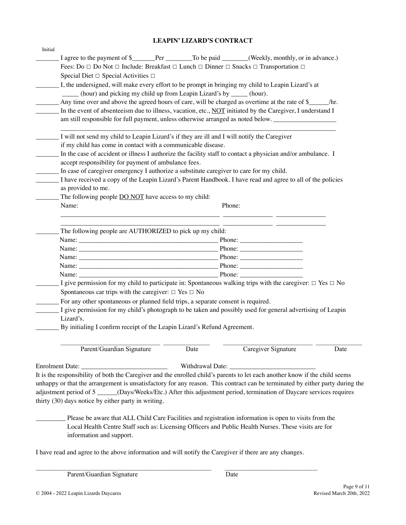#### **LEAPIN' LIZARD'S CONTRACT**

| Initial |                                                                                                                                                                                                                               |      |        |                     |      |  |
|---------|-------------------------------------------------------------------------------------------------------------------------------------------------------------------------------------------------------------------------------|------|--------|---------------------|------|--|
|         | I agree to the payment of \$______Per _________To be paid _______(Weekly, monthly, or in advance.)                                                                                                                            |      |        |                     |      |  |
|         | Fees: Do $\Box$ Do Not $\Box$ Include: Breakfast $\Box$ Lunch $\Box$ Dinner $\Box$ Snacks $\Box$ Transportation $\Box$                                                                                                        |      |        |                     |      |  |
|         | Special Diet $\Box$ Special Activities $\Box$                                                                                                                                                                                 |      |        |                     |      |  |
|         | I, the undersigned, will make every effort to be prompt in bringing my child to Leapin Lizard's at                                                                                                                            |      |        |                     |      |  |
|         | (hour) and picking my child up from Leapin Lizard's by _____ (hour).                                                                                                                                                          |      |        |                     |      |  |
|         | Any time over and above the agreed hours of care, will be charged as overtime at the rate of \$_______/hr.                                                                                                                    |      |        |                     |      |  |
|         | In the event of absenteeism due to illness, vacation, etc., NOT initiated by the Caregiver, I understand I                                                                                                                    |      |        |                     |      |  |
|         | am still responsible for full payment, unless otherwise arranged as noted below.                                                                                                                                              |      |        |                     |      |  |
|         |                                                                                                                                                                                                                               |      |        |                     |      |  |
|         | I will not send my child to Leapin Lizard's if they are ill and I will notify the Caregiver                                                                                                                                   |      |        |                     |      |  |
|         | if my child has come in contact with a communicable disease.                                                                                                                                                                  |      |        |                     |      |  |
|         | In the case of accident or illness I authorize the facility staff to contact a physician and/or ambulance. I                                                                                                                  |      |        |                     |      |  |
|         | accept responsibility for payment of ambulance fees.                                                                                                                                                                          |      |        |                     |      |  |
|         | In case of caregiver emergency I authorize a substitute caregiver to care for my child.                                                                                                                                       |      |        |                     |      |  |
|         | I have received a copy of the Leapin Lizard's Parent Handbook. I have read and agree to all of the policies                                                                                                                   |      |        |                     |      |  |
|         | as provided to me.                                                                                                                                                                                                            |      |        |                     |      |  |
|         | The following people <b>DO NOT</b> have access to my child:                                                                                                                                                                   |      |        |                     |      |  |
|         | Name:                                                                                                                                                                                                                         |      | Phone: |                     |      |  |
|         |                                                                                                                                                                                                                               |      |        |                     |      |  |
|         |                                                                                                                                                                                                                               |      |        |                     |      |  |
|         | The following people are AUTHORIZED to pick up my child:                                                                                                                                                                      |      |        |                     |      |  |
|         |                                                                                                                                                                                                                               |      |        |                     |      |  |
|         |                                                                                                                                                                                                                               |      |        |                     |      |  |
|         | Name: 2008.000 2008.000 2009.000 2009.000 2009.000 2009.000 2009.000 2009.000 2009.000 2009.000 2009.000 2009.000 2009.000 2009.000 2009.000 2009.000 2009.000 2009.000 2009.000 2009.000 2009.000 2009.000 2009.000 2009.000 |      |        |                     |      |  |
|         |                                                                                                                                                                                                                               |      |        |                     |      |  |
|         |                                                                                                                                                                                                                               |      |        |                     |      |  |
|         | I give permission for my child to participate in: Spontaneous walking trips with the caregiver: $\Box$ Yes $\Box$ No                                                                                                          |      |        |                     |      |  |
|         | Spontaneous car trips with the caregiver: $\Box$ Yes $\Box$ No                                                                                                                                                                |      |        |                     |      |  |
|         | For any other spontaneous or planned field trips, a separate consent is required.                                                                                                                                             |      |        |                     |      |  |
|         | I give permission for my child's photograph to be taken and possibly used for general advertising of Leapin                                                                                                                   |      |        |                     |      |  |
|         | Lizard's.                                                                                                                                                                                                                     |      |        |                     |      |  |
|         | By initialing I confirm receipt of the Leapin Lizard's Refund Agreement.                                                                                                                                                      |      |        |                     |      |  |
|         |                                                                                                                                                                                                                               |      |        |                     |      |  |
|         | Parent/Guardian Signature                                                                                                                                                                                                     | Date |        | Caregiver Signature | Date |  |
|         |                                                                                                                                                                                                                               |      |        |                     |      |  |
|         |                                                                                                                                                                                                                               |      |        |                     |      |  |
|         | It is the responsibility of both the Caregiver and the enrolled child's parents to let each another know if the child seems                                                                                                   |      |        |                     |      |  |
|         | unhappy or that the arrangement is unsatisfactory for any reason. This contract can be terminated by either party during the                                                                                                  |      |        |                     |      |  |
|         | adjustment period of 5 ______(Days/Weeks/Etc.) After this adjustment period, termination of Daycare services requires                                                                                                         |      |        |                     |      |  |
|         | thirty (30) days notice by either party in writing.                                                                                                                                                                           |      |        |                     |      |  |
|         |                                                                                                                                                                                                                               |      |        |                     |      |  |
|         | Please be aware that ALL Child Care Facilities and registration information is open to visits from the                                                                                                                        |      |        |                     |      |  |
|         | Local Health Centre Staff such as: Licensing Officers and Public Health Nurses. These visits are for                                                                                                                          |      |        |                     |      |  |
|         | information and support.                                                                                                                                                                                                      |      |        |                     |      |  |
|         |                                                                                                                                                                                                                               |      |        |                     |      |  |
|         | I have read and agree to the above information and will notify the Caregiver if there are any changes.                                                                                                                        |      |        |                     |      |  |
|         |                                                                                                                                                                                                                               |      |        |                     |      |  |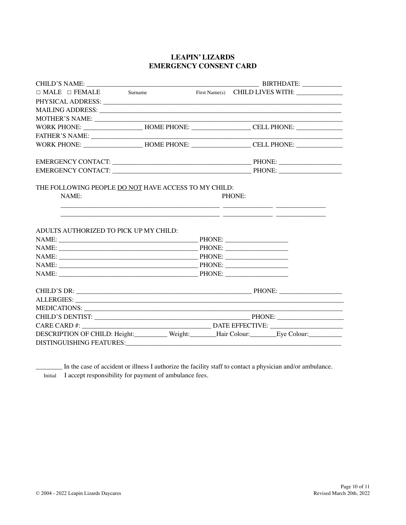#### **LEAPIN' LIZARDS EMERGENCY CONSENT CARD**

| $\Box$ MALE $\Box$ FEMALE Surname                                                                    |                                                                                                                                                                                                                                                 |  | First Name(s) CHILD LIVES WITH: |
|------------------------------------------------------------------------------------------------------|-------------------------------------------------------------------------------------------------------------------------------------------------------------------------------------------------------------------------------------------------|--|---------------------------------|
|                                                                                                      |                                                                                                                                                                                                                                                 |  |                                 |
|                                                                                                      |                                                                                                                                                                                                                                                 |  |                                 |
|                                                                                                      |                                                                                                                                                                                                                                                 |  |                                 |
| WORK PHONE: _______________________HOME PHONE: _____________________CELL PHONE: ____________________ |                                                                                                                                                                                                                                                 |  |                                 |
|                                                                                                      |                                                                                                                                                                                                                                                 |  |                                 |
| WORK PHONE: _______________________HOME PHONE: _____________________CELL PHONE: ____________________ |                                                                                                                                                                                                                                                 |  |                                 |
|                                                                                                      |                                                                                                                                                                                                                                                 |  |                                 |
|                                                                                                      |                                                                                                                                                                                                                                                 |  |                                 |
| ADULTS AUTHORIZED TO PICK UP MY CHILD:                                                               | <u> 1989 - Johann Barn, mars ann an t-Amhain ann an t-Amhain an t-Amhain an t-Amhain an t-Amhain an t-Amhain an t-</u><br><u> 1999 - Johann Harry Harry Harry Harry Harry Harry Harry Harry Harry Harry Harry Harry Harry Harry Harry Harry</u> |  |                                 |
|                                                                                                      |                                                                                                                                                                                                                                                 |  |                                 |
|                                                                                                      |                                                                                                                                                                                                                                                 |  |                                 |
|                                                                                                      |                                                                                                                                                                                                                                                 |  |                                 |
|                                                                                                      |                                                                                                                                                                                                                                                 |  |                                 |
| NAME: PHONE: PHONE:                                                                                  |                                                                                                                                                                                                                                                 |  |                                 |
|                                                                                                      |                                                                                                                                                                                                                                                 |  |                                 |
|                                                                                                      |                                                                                                                                                                                                                                                 |  |                                 |
|                                                                                                      |                                                                                                                                                                                                                                                 |  |                                 |
|                                                                                                      |                                                                                                                                                                                                                                                 |  |                                 |
|                                                                                                      |                                                                                                                                                                                                                                                 |  |                                 |
| DESCRIPTION OF CHILD: Height:__________ Weight:_______Hair Colour:_________Eye Colour:_____________  |                                                                                                                                                                                                                                                 |  |                                 |
|                                                                                                      |                                                                                                                                                                                                                                                 |  |                                 |

\_\_\_\_\_\_\_\_ In the case of accident or illness I authorize the facility staff to contact a physician and/or ambulance. Initial I accept responsibility for payment of ambulance fees.